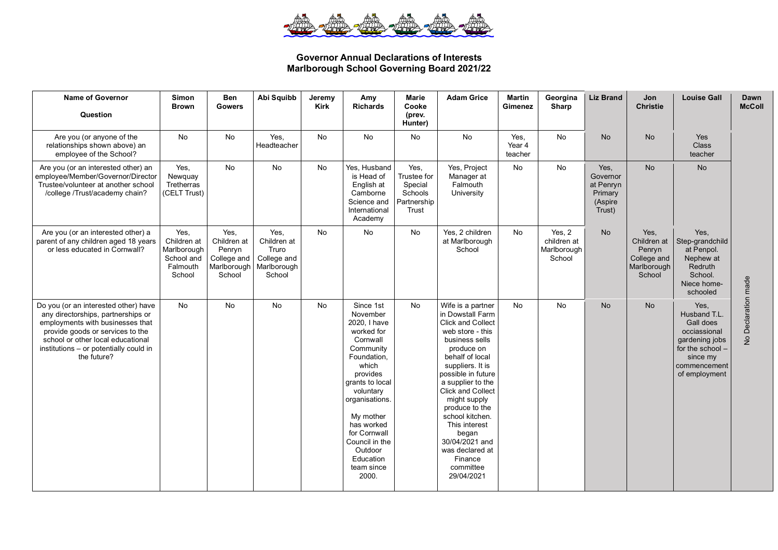

## **Governor Annual Declarations of Interests Marlborough School Governing Board 2021/22**

| <b>Name of Governor</b><br>Question                                                                                                                                                                                                              | <b>Simon</b><br><b>Brown</b>                                           | <b>Ben</b><br><b>Gowers</b>                                           | Abi Squibb                                                           | Jeremy<br><b>Kirk</b> | Amy<br><b>Richards</b>                                                                                                                                                                                                                                                         | Marie<br>Cooke<br>(prev.<br>Hunter)                               | <b>Adam Grice</b>                                                                                                                                                                                                                                                                                                                                                                             | <b>Martin</b><br>Gimenez  | Georgina<br>Sharp                              | <b>Liz Brand</b>                                              | Jon<br><b>Christie</b>                                                | <b>Louise Gall</b>                                                                                                                   | Dawn<br><b>McColl</b> |
|--------------------------------------------------------------------------------------------------------------------------------------------------------------------------------------------------------------------------------------------------|------------------------------------------------------------------------|-----------------------------------------------------------------------|----------------------------------------------------------------------|-----------------------|--------------------------------------------------------------------------------------------------------------------------------------------------------------------------------------------------------------------------------------------------------------------------------|-------------------------------------------------------------------|-----------------------------------------------------------------------------------------------------------------------------------------------------------------------------------------------------------------------------------------------------------------------------------------------------------------------------------------------------------------------------------------------|---------------------------|------------------------------------------------|---------------------------------------------------------------|-----------------------------------------------------------------------|--------------------------------------------------------------------------------------------------------------------------------------|-----------------------|
| Are you (or anyone of the<br>relationships shown above) an<br>employee of the School?                                                                                                                                                            | No                                                                     | <b>No</b>                                                             | Yes.<br>Headteacher                                                  | <b>No</b>             | <b>No</b>                                                                                                                                                                                                                                                                      | No                                                                | <b>No</b>                                                                                                                                                                                                                                                                                                                                                                                     | Yes.<br>Year 4<br>teacher | <b>No</b>                                      | <b>No</b>                                                     | <b>No</b>                                                             | Yes<br><b>Class</b><br>teacher                                                                                                       |                       |
| Are you (or an interested other) an<br>employee/Member/Governor/Director<br>Trustee/volunteer at another school<br>/college /Trust/academy chain?                                                                                                | Yes,<br>Newquay<br>Tretherras<br>(CELT Trust)                          | No                                                                    | No                                                                   | No                    | Yes, Husband<br>is Head of<br>English at<br>Camborne<br>Science and<br>International<br>Academy                                                                                                                                                                                | Yes,<br>Trustee for<br>Special<br>Schools<br>Partnership<br>Trust | Yes, Project<br>Manager at<br>Falmouth<br>University                                                                                                                                                                                                                                                                                                                                          | No                        | No                                             | Yes,<br>Governor<br>at Penryn<br>Primary<br>(Aspire<br>Trust) | <b>No</b>                                                             | <b>No</b>                                                                                                                            |                       |
| Are you (or an interested other) a<br>parent of any children aged 18 years<br>or less educated in Cornwall?                                                                                                                                      | Yes,<br>Children at<br>Marlborough<br>School and<br>Falmouth<br>School | Yes,<br>Children at<br>Penryn<br>College and<br>Marlborough<br>School | Yes.<br>Children at<br>Truro<br>College and<br>Marlborough<br>School | <b>No</b>             | No                                                                                                                                                                                                                                                                             | <b>No</b>                                                         | Yes, 2 children<br>at Marlborough<br>School                                                                                                                                                                                                                                                                                                                                                   | No                        | Yes, 2<br>children at<br>Marlborough<br>School | <b>No</b>                                                     | Yes,<br>Children at<br>Penryn<br>College and<br>Marlborough<br>School | Yes,<br>Step-grandchild<br>at Penpol.<br>Nephew at<br>Redruth<br>School.<br>Niece home-<br>schooled                                  |                       |
| Do you (or an interested other) have<br>any directorships, partnerships or<br>employments with businesses that<br>provide goods or services to the<br>school or other local educational<br>institutions - or potentially could in<br>the future? | <b>No</b>                                                              | No                                                                    | No                                                                   | <b>No</b>             | Since 1st<br>November<br>2020, I have<br>worked for<br>Cornwall<br>Community<br>Foundation,<br>which<br>provides<br>grants to local<br>voluntary<br>organisations.<br>My mother<br>has worked<br>for Cornwall<br>Council in the<br>Outdoor<br>Education<br>team since<br>2000. | No                                                                | Wife is a partner<br>in Dowstall Farm<br><b>Click and Collect</b><br>web store - this<br>business sells<br>produce on<br>behalf of local<br>suppliers. It is<br>possible in future<br>a supplier to the<br><b>Click and Collect</b><br>might supply<br>produce to the<br>school kitchen.<br>This interest<br>began<br>30/04/2021 and<br>was declared at<br>Finance<br>committee<br>29/04/2021 | No                        | No                                             | No                                                            | <b>No</b>                                                             | Yes,<br>Husband T.L.<br>Gall does<br>occiassional<br>gardening jobs<br>for the school -<br>since my<br>commencement<br>of employment | No Declaration made   |